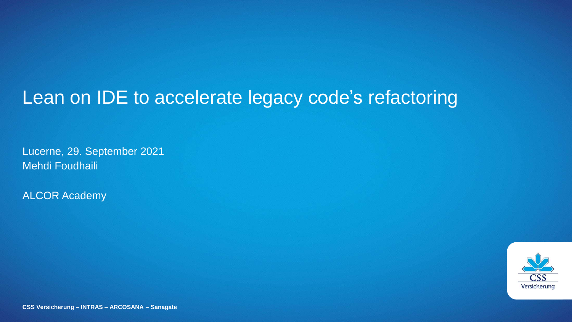### Lean on IDE to accelerate legacy code's refactoring

Lucerne, 29. September 2021 Mehdi Foudhaili

ALCOR Academy



**CSS Versicherung – INTRAS – ARCOSANA – Sanagate**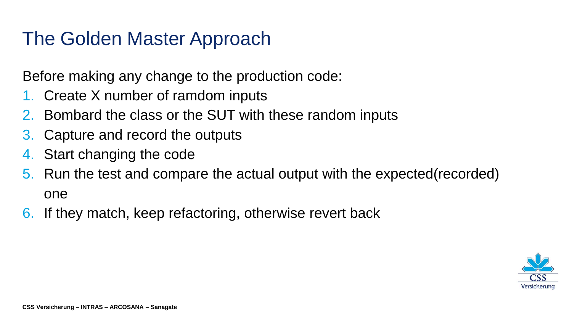### The Golden Master Approach

Before making any change to the production code:

- 1. Create X number of ramdom inputs
- 2. Bombard the class or the SUT with these random inputs
- 3. Capture and record the outputs
- 4. Start changing the code
- 5. Run the test and compare the actual output with the expected(recorded) one
- 6. If they match, keep refactoring, otherwise revert back

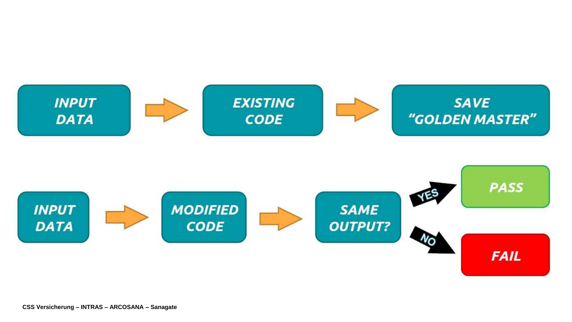

**CSS Versicherung - INTRAS - ARCOSANA - Sanagate**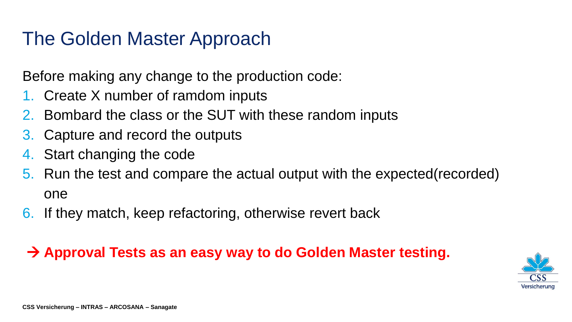#### The Golden Master Approach

Before making any change to the production code:

- 1. Create X number of ramdom inputs
- 2. Bombard the class or the SUT with these random inputs
- 3. Capture and record the outputs
- 4. Start changing the code
- 5. Run the test and compare the actual output with the expected(recorded) one
- 6. If they match, keep refactoring, otherwise revert back

#### **Approval Tests as an easy way to do Golden Master testing.**

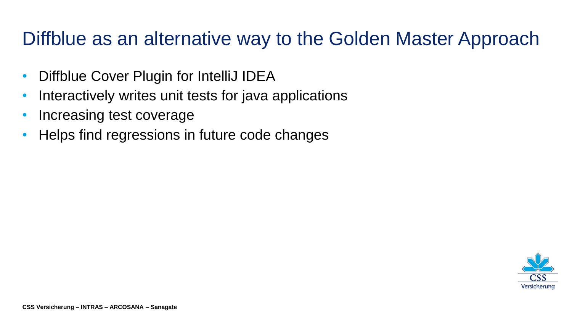### Diffblue as an alternative way to the Golden Master Approach

- Diffblue Cover Plugin for IntelliJ IDEA
- Interactively writes unit tests for java applications
- Increasing test coverage
- Helps find regressions in future code changes

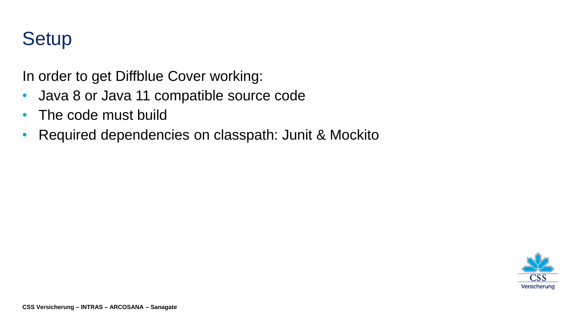# **Setup**

In order to get Diffblue Cover working:

- Java 8 or Java 11 compatible source code
- The code must build
- Required dependencies on classpath: Junit & Mockito

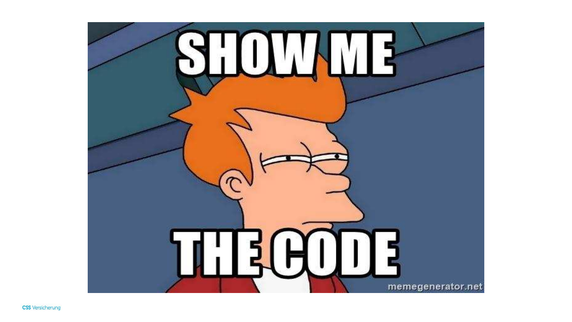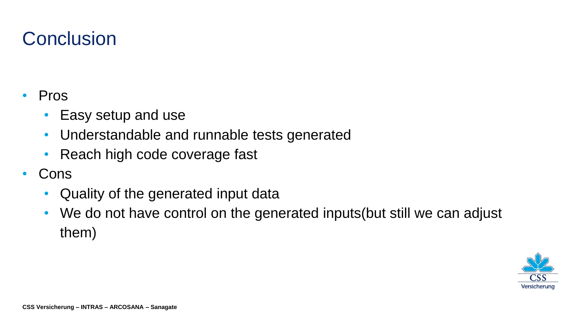# **Conclusion**

- Pros
	- Easy setup and use
	- Understandable and runnable tests generated
	- Reach high code coverage fast
- Cons
	- Quality of the generated input data
	- We do not have control on the generated inputs (but still we can adjust them)

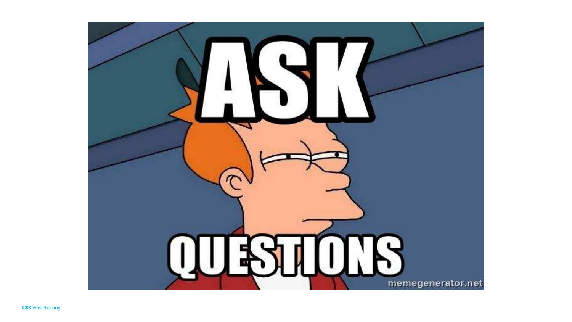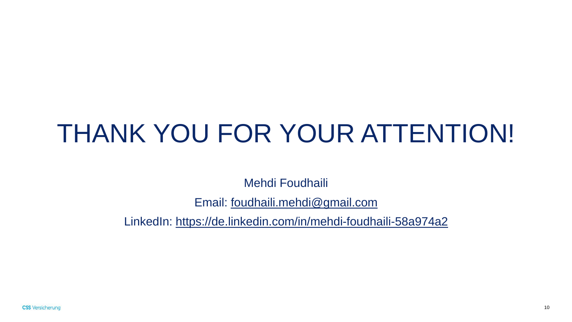# THANK YOU FOR YOUR ATTENTION!

Mehdi Foudhaili

Email: [foudhaili.mehdi@gmail.com](mailto:foudhaili.mehdi@gmail.com)

LinkedIn:<https://de.linkedin.com/in/mehdi-foudhaili-58a974a2>